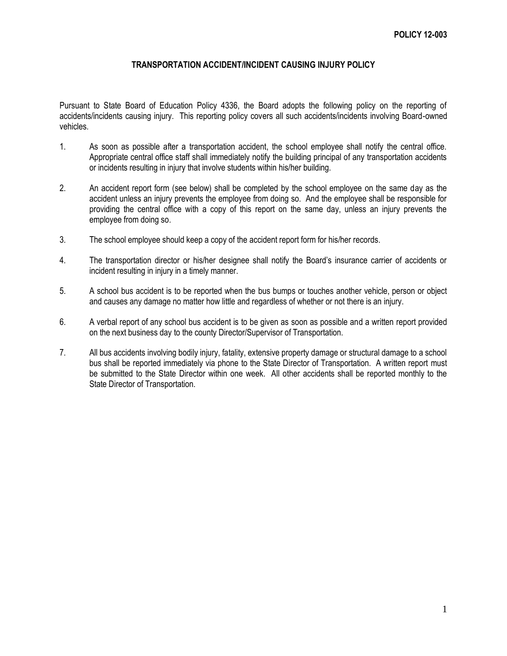## **TRANSPORTATION ACCIDENT/INCIDENT CAUSING INJURY POLICY**

Pursuant to State Board of Education Policy 4336, the Board adopts the following policy on the reporting of accidents/incidents causing injury. This reporting policy covers all such accidents/incidents involving Board-owned vehicles.

- 1. As soon as possible after a transportation accident, the school employee shall notify the central office. Appropriate central office staff shall immediately notify the building principal of any transportation accidents or incidents resulting in injury that involve students within his/her building.
- 2. An accident report form (see below) shall be completed by the school employee on the same day as the accident unless an injury prevents the employee from doing so. And the employee shall be responsible for providing the central office with a copy of this report on the same day, unless an injury prevents the employee from doing so.
- 3. The school employee should keep a copy of the accident report form for his/her records.
- 4. The transportation director or his/her designee shall notify the Board's insurance carrier of accidents or incident resulting in injury in a timely manner.
- 5. A school bus accident is to be reported when the bus bumps or touches another vehicle, person or object and causes any damage no matter how little and regardless of whether or not there is an injury.
- 6. A verbal report of any school bus accident is to be given as soon as possible and a written report provided on the next business day to the county Director/Supervisor of Transportation.
- 7. All bus accidents involving bodily injury, fatality, extensive property damage or structural damage to a school bus shall be reported immediately via phone to the State Director of Transportation. A written report must be submitted to the State Director within one week. All other accidents shall be reported monthly to the State Director of Transportation.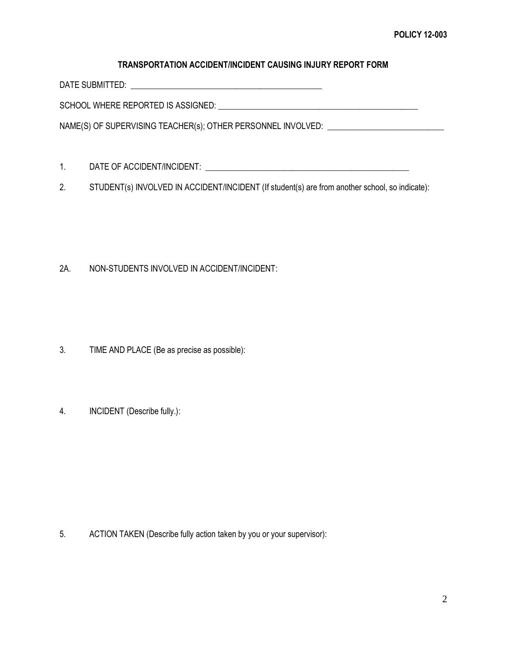## **TRANSPORTATION ACCIDENT/INCIDENT CAUSING INJURY REPORT FORM**

DATE SUBMITTED: \_\_\_\_\_\_\_\_\_\_\_\_\_\_\_\_\_\_\_\_\_\_\_\_\_\_\_\_\_\_\_\_\_\_\_\_\_\_\_\_\_\_\_\_\_\_

SCHOOL WHERE REPORTED IS ASSIGNED: \_\_\_\_\_\_\_\_\_\_\_\_\_\_\_\_\_\_\_\_\_\_\_\_\_\_\_\_\_\_\_\_\_\_\_\_\_\_\_\_\_\_\_\_\_\_\_\_

NAME(S) OF SUPERVISING TEACHER(s); OTHER PERSONNEL INVOLVED: \_\_\_\_\_\_\_\_\_\_\_\_\_\_\_\_\_\_\_\_

- 1. DATE OF ACCIDENT/INCIDENT: \_\_\_\_\_\_\_\_\_\_\_\_\_\_\_\_\_\_\_\_\_\_\_\_\_\_\_\_\_\_\_\_\_\_\_\_\_\_\_\_\_\_\_\_\_\_\_\_\_
- 2. STUDENT(s) INVOLVED IN ACCIDENT/INCIDENT (If student(s) are from another school, so indicate):

## 2A. NON-STUDENTS INVOLVED IN ACCIDENT/INCIDENT:

- 3. TIME AND PLACE (Be as precise as possible):
- 4. INCIDENT (Describe fully.):

5. ACTION TAKEN (Describe fully action taken by you or your supervisor):